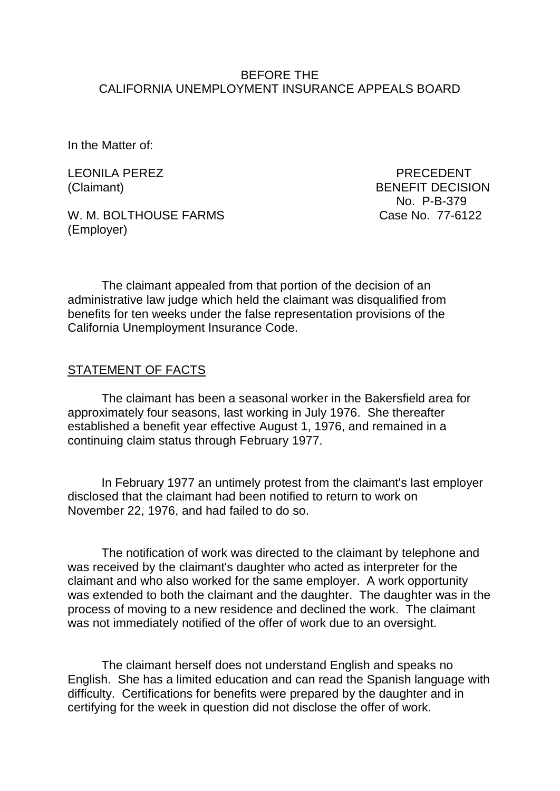#### BEFORE THE CALIFORNIA UNEMPLOYMENT INSURANCE APPEALS BOARD

In the Matter of:

LEONILA PEREZ PRECEDENT

W. M. BOLTHOUSE FARMS Case No. 77-6122 (Employer)

(Claimant) BENEFIT DECISION No. P-B-379

The claimant appealed from that portion of the decision of an administrative law judge which held the claimant was disqualified from benefits for ten weeks under the false representation provisions of the California Unemployment Insurance Code.

## STATEMENT OF FACTS

The claimant has been a seasonal worker in the Bakersfield area for approximately four seasons, last working in July 1976. She thereafter established a benefit year effective August 1, 1976, and remained in a continuing claim status through February 1977.

In February 1977 an untimely protest from the claimant's last employer disclosed that the claimant had been notified to return to work on November 22, 1976, and had failed to do so.

The notification of work was directed to the claimant by telephone and was received by the claimant's daughter who acted as interpreter for the claimant and who also worked for the same employer. A work opportunity was extended to both the claimant and the daughter. The daughter was in the process of moving to a new residence and declined the work. The claimant was not immediately notified of the offer of work due to an oversight.

The claimant herself does not understand English and speaks no English. She has a limited education and can read the Spanish language with difficulty. Certifications for benefits were prepared by the daughter and in certifying for the week in question did not disclose the offer of work.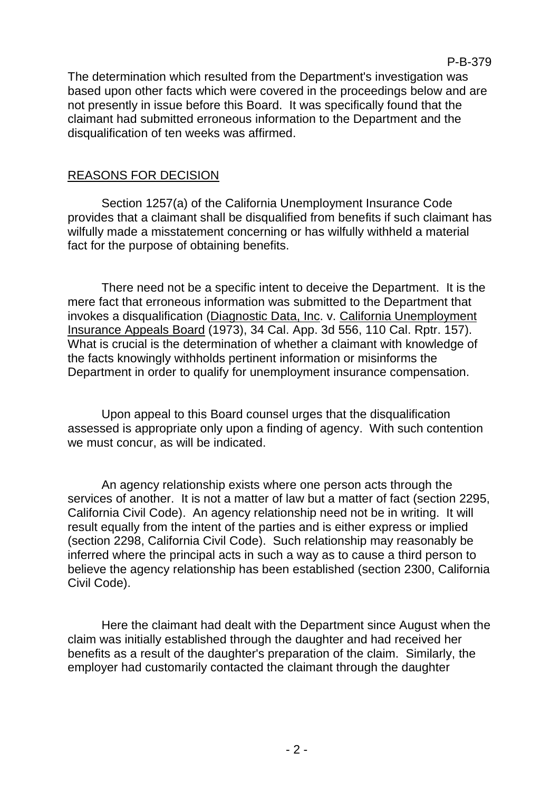The determination which resulted from the Department's investigation was based upon other facts which were covered in the proceedings below and are not presently in issue before this Board. It was specifically found that the claimant had submitted erroneous information to the Department and the disqualification of ten weeks was affirmed.

## REASONS FOR DECISION

Section 1257(a) of the California Unemployment Insurance Code provides that a claimant shall be disqualified from benefits if such claimant has wilfully made a misstatement concerning or has wilfully withheld a material fact for the purpose of obtaining benefits.

There need not be a specific intent to deceive the Department. It is the mere fact that erroneous information was submitted to the Department that invokes a disqualification (Diagnostic Data, Inc. v. California Unemployment Insurance Appeals Board (1973), 34 Cal. App. 3d 556, 110 Cal. Rptr. 157). What is crucial is the determination of whether a claimant with knowledge of the facts knowingly withholds pertinent information or misinforms the Department in order to qualify for unemployment insurance compensation.

Upon appeal to this Board counsel urges that the disqualification assessed is appropriate only upon a finding of agency. With such contention we must concur, as will be indicated.

An agency relationship exists where one person acts through the services of another. It is not a matter of law but a matter of fact (section 2295, California Civil Code). An agency relationship need not be in writing. It will result equally from the intent of the parties and is either express or implied (section 2298, California Civil Code). Such relationship may reasonably be inferred where the principal acts in such a way as to cause a third person to believe the agency relationship has been established (section 2300, California Civil Code).

Here the claimant had dealt with the Department since August when the claim was initially established through the daughter and had received her benefits as a result of the daughter's preparation of the claim. Similarly, the employer had customarily contacted the claimant through the daughter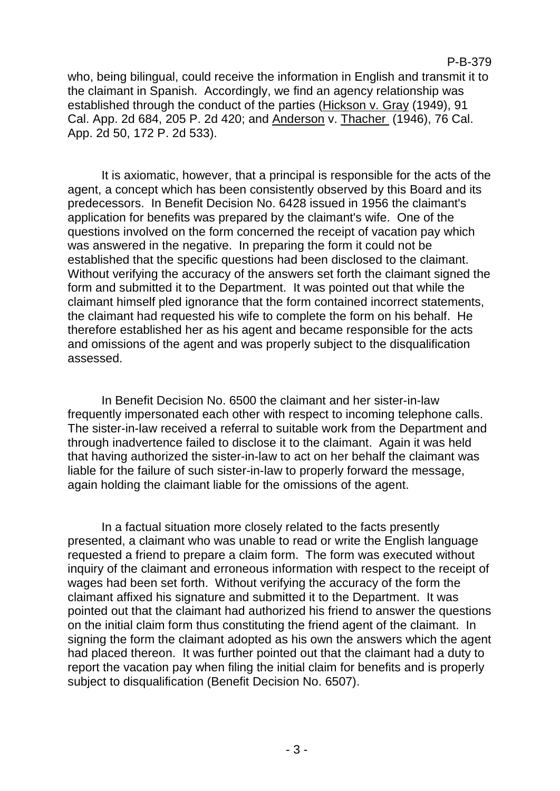#### P-B-379

who, being bilingual, could receive the information in English and transmit it to the claimant in Spanish. Accordingly, we find an agency relationship was established through the conduct of the parties (Hickson v. Gray (1949), 91 Cal. App. 2d 684, 205 P. 2d 420; and Anderson v. Thacher (1946), 76 Cal. App. 2d 50, 172 P. 2d 533).

It is axiomatic, however, that a principal is responsible for the acts of the agent, a concept which has been consistently observed by this Board and its predecessors. In Benefit Decision No. 6428 issued in 1956 the claimant's application for benefits was prepared by the claimant's wife. One of the questions involved on the form concerned the receipt of vacation pay which was answered in the negative. In preparing the form it could not be established that the specific questions had been disclosed to the claimant. Without verifying the accuracy of the answers set forth the claimant signed the form and submitted it to the Department. It was pointed out that while the claimant himself pled ignorance that the form contained incorrect statements, the claimant had requested his wife to complete the form on his behalf. He therefore established her as his agent and became responsible for the acts and omissions of the agent and was properly subject to the disqualification assessed.

In Benefit Decision No. 6500 the claimant and her sister-in-law frequently impersonated each other with respect to incoming telephone calls. The sister-in-law received a referral to suitable work from the Department and through inadvertence failed to disclose it to the claimant. Again it was held that having authorized the sister-in-law to act on her behalf the claimant was liable for the failure of such sister-in-law to properly forward the message, again holding the claimant liable for the omissions of the agent.

In a factual situation more closely related to the facts presently presented, a claimant who was unable to read or write the English language requested a friend to prepare a claim form. The form was executed without inquiry of the claimant and erroneous information with respect to the receipt of wages had been set forth. Without verifying the accuracy of the form the claimant affixed his signature and submitted it to the Department. It was pointed out that the claimant had authorized his friend to answer the questions on the initial claim form thus constituting the friend agent of the claimant. In signing the form the claimant adopted as his own the answers which the agent had placed thereon. It was further pointed out that the claimant had a duty to report the vacation pay when filing the initial claim for benefits and is properly subject to disqualification (Benefit Decision No. 6507).